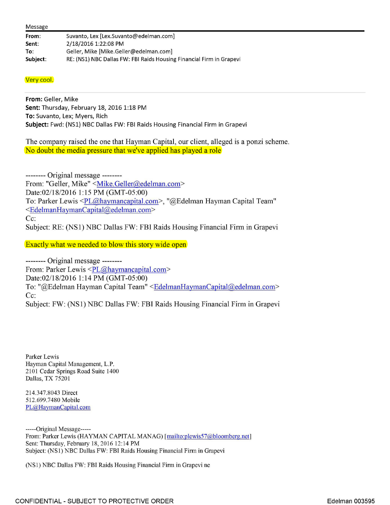| From:    | Suvanto, Lex [Lex.Suvanto@edelman.com]                               |
|----------|----------------------------------------------------------------------|
| Sent:    | 2/18/2016 1:22:08 PM                                                 |
| To:      | Geller, Mike [Mike.Geller@edelman.com]                               |
| Subject: | RE: (NS1) NBC Dallas FW: FBI Raids Housing Financial Firm in Grapevi |

## Very cool.

**From:** Geller, Mike **Sent:** Thursday, February 18, 2016 1:18 PM **To:** Suvanto, Lex; Myers, Rich **Subject:** Fwd: (NSl) NBC Dallas FW: FBI Raids Housing Financial Firm in Grapevi

The company raised the one that Hayman Capital, our client, alleged is a ponzi scheme. No doubt the media pressure that we've applied has played a role

-------- Original message -------- From: "Geller, Mike" < Mike.Geller@edelman.com> Date:02/18/2016 1:15 PM (GMT-05:00) To: Parker Lewis <PL@haymancapital.com>, "@Edelman Hayman Capital Team" <EdelmanHaymanCapital@edelman.com> Cc: Subject: RE: (NSI) NBC Dallas FW: FBI Raids Housing Financial Firm in Grapevi

Exactly what we needed to blow this story wide open

-------- Original message -------- From: Parker Lewis <PL@haymancapital.com> Date:02/18/2016 1:14 PM (GMT-05:00) To: "@Edelman Hayman Capital Team" <EdelmanHaymanCapital@edelman.com> Cc:

Subject: FW: (NSI) NBC Dallas FW: FBI Raids Housing Financial Firm in Grapevi

Parker Lewis Hayman Capital Management, L.P. 2101 Cedar Springs Road Suite 1400 Dallas, TX 75201

214.347.8043 Direct 512.699.7480 Mobile PL@HaymanCapital.com

-----Original Message----- From: Parker Lewis (HAYMAN CAPITAL MANAG) [mailto:plewis57@bloomberg.net] Sent: Thursday, February 18, 2016 12:14 PM Subject: (NSl) NBC Dallas FW: FBI Raids Housing Financial Firm in Grapevi

(NSl) NBC Dallas FW: FBI Raids Housing Financial Firm in Grapevine